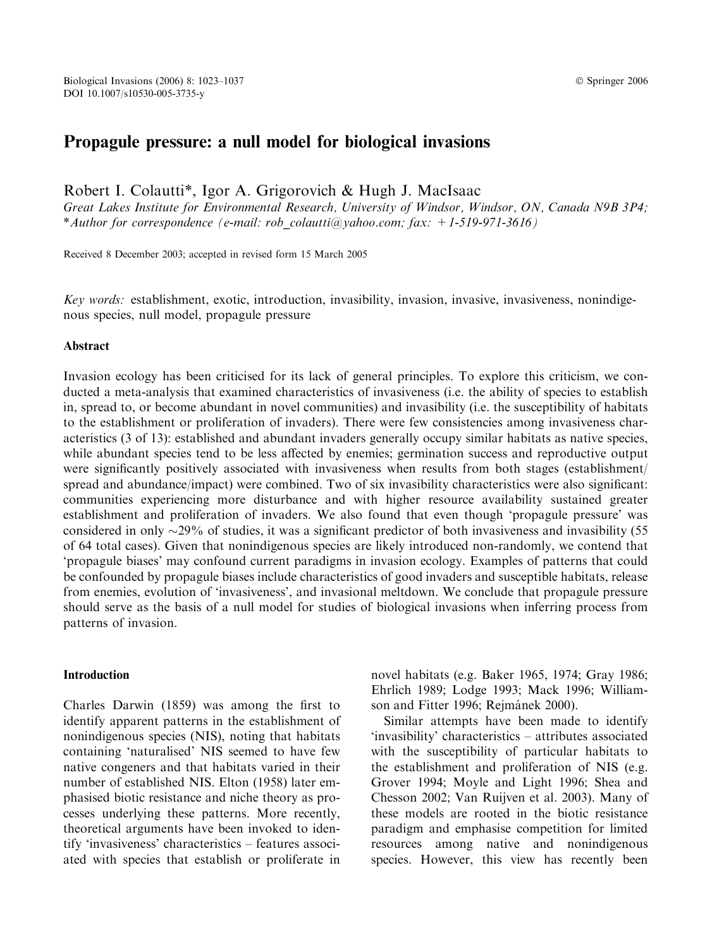# Propagule pressure: a null model for biological invasions

Robert I. Colautti\*, Igor A. Grigorovich & Hugh J. MacIsaac

Great Lakes Institute for Environmental Research, University of Windsor, Windsor, ON, Canada N9B 3P4; \*Author for correspondence (e-mail: rob\_colautti@yahoo.com; fax: +1-519-971-3616)

Received 8 December 2003; accepted in revised form 15 March 2005

Key words: establishment, exotic, introduction, invasibility, invasion, invasive, invasiveness, nonindigenous species, null model, propagule pressure

#### Abstract

Invasion ecology has been criticised for its lack of general principles. To explore this criticism, we conducted a meta-analysis that examined characteristics of invasiveness (i.e. the ability of species to establish in, spread to, or become abundant in novel communities) and invasibility (i.e. the susceptibility of habitats to the establishment or proliferation of invaders). There were few consistencies among invasiveness characteristics (3 of 13): established and abundant invaders generally occupy similar habitats as native species, while abundant species tend to be less affected by enemies; germination success and reproductive output were significantly positively associated with invasiveness when results from both stages (establishment/ spread and abundance/impact) were combined. Two of six invasibility characteristics were also significant: communities experiencing more disturbance and with higher resource availability sustained greater establishment and proliferation of invaders. We also found that even though 'propagule pressure' was considered in only  $\sim$ 29% of studies, it was a significant predictor of both invasiveness and invasibility (55 of 64 total cases). Given that nonindigenous species are likely introduced non-randomly, we contend that 'propagule biases' may confound current paradigms in invasion ecology. Examples of patterns that could be confounded by propagule biases include characteristics of good invaders and susceptible habitats, release from enemies, evolution of 'invasiveness', and invasional meltdown. We conclude that propagule pressure should serve as the basis of a null model for studies of biological invasions when inferring process from patterns of invasion.

#### **Introduction**

Charles Darwin (1859) was among the first to identify apparent patterns in the establishment of nonindigenous species (NIS), noting that habitats containing 'naturalised' NIS seemed to have few native congeners and that habitats varied in their number of established NIS. Elton (1958) later emphasised biotic resistance and niche theory as processes underlying these patterns. More recently, theoretical arguments have been invoked to identify 'invasiveness' characteristics – features associated with species that establish or proliferate in novel habitats (e.g. Baker 1965, 1974; Gray 1986; Ehrlich 1989; Lodge 1993; Mack 1996; Williamson and Fitter 1996; Rejmánek 2000).

Similar attempts have been made to identify 'invasibility' characteristics – attributes associated with the susceptibility of particular habitats to the establishment and proliferation of NIS (e.g. Grover 1994; Moyle and Light 1996; Shea and Chesson 2002; Van Ruijven et al. 2003). Many of these models are rooted in the biotic resistance paradigm and emphasise competition for limited resources among native and nonindigenous species. However, this view has recently been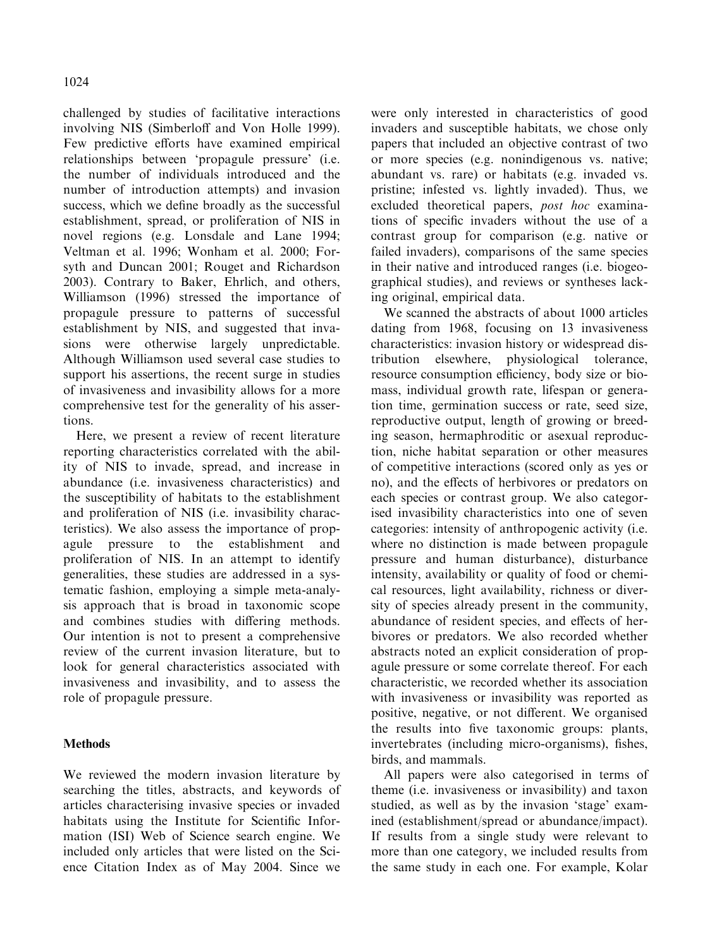challenged by studies of facilitative interactions involving NIS (Simberloff and Von Holle 1999). Few predictive efforts have examined empirical relationships between 'propagule pressure' (i.e. the number of individuals introduced and the number of introduction attempts) and invasion success, which we define broadly as the successful establishment, spread, or proliferation of NIS in novel regions (e.g. Lonsdale and Lane 1994; Veltman et al. 1996; Wonham et al. 2000; Forsyth and Duncan 2001; Rouget and Richardson 2003). Contrary to Baker, Ehrlich, and others, Williamson (1996) stressed the importance of propagule pressure to patterns of successful establishment by NIS, and suggested that invasions were otherwise largely unpredictable. Although Williamson used several case studies to support his assertions, the recent surge in studies of invasiveness and invasibility allows for a more comprehensive test for the generality of his assertions.

Here, we present a review of recent literature reporting characteristics correlated with the ability of NIS to invade, spread, and increase in abundance (i.e. invasiveness characteristics) and the susceptibility of habitats to the establishment and proliferation of NIS (i.e. invasibility characteristics). We also assess the importance of propagule pressure to the establishment and proliferation of NIS. In an attempt to identify generalities, these studies are addressed in a systematic fashion, employing a simple meta-analysis approach that is broad in taxonomic scope and combines studies with differing methods. Our intention is not to present a comprehensive review of the current invasion literature, but to look for general characteristics associated with invasiveness and invasibility, and to assess the role of propagule pressure.

## **Methods**

We reviewed the modern invasion literature by searching the titles, abstracts, and keywords of articles characterising invasive species or invaded habitats using the Institute for Scientific Information (ISI) Web of Science search engine. We included only articles that were listed on the Science Citation Index as of May 2004. Since we were only interested in characteristics of good invaders and susceptible habitats, we chose only papers that included an objective contrast of two or more species (e.g. nonindigenous vs. native; abundant vs. rare) or habitats (e.g. invaded vs. pristine; infested vs. lightly invaded). Thus, we excluded theoretical papers, post hoc examinations of specific invaders without the use of a contrast group for comparison (e.g. native or failed invaders), comparisons of the same species in their native and introduced ranges (i.e. biogeographical studies), and reviews or syntheses lacking original, empirical data.

We scanned the abstracts of about 1000 articles dating from 1968, focusing on 13 invasiveness characteristics: invasion history or widespread distribution elsewhere, physiological tolerance, resource consumption efficiency, body size or biomass, individual growth rate, lifespan or generation time, germination success or rate, seed size, reproductive output, length of growing or breeding season, hermaphroditic or asexual reproduction, niche habitat separation or other measures of competitive interactions (scored only as yes or no), and the effects of herbivores or predators on each species or contrast group. We also categorised invasibility characteristics into one of seven categories: intensity of anthropogenic activity (i.e. where no distinction is made between propagule pressure and human disturbance), disturbance intensity, availability or quality of food or chemical resources, light availability, richness or diversity of species already present in the community, abundance of resident species, and effects of herbivores or predators. We also recorded whether abstracts noted an explicit consideration of propagule pressure or some correlate thereof. For each characteristic, we recorded whether its association with invasiveness or invasibility was reported as positive, negative, or not different. We organised the results into five taxonomic groups: plants, invertebrates (including micro-organisms), fishes, birds, and mammals.

All papers were also categorised in terms of theme (i.e. invasiveness or invasibility) and taxon studied, as well as by the invasion 'stage' examined (establishment/spread or abundance/impact). If results from a single study were relevant to more than one category, we included results from the same study in each one. For example, Kolar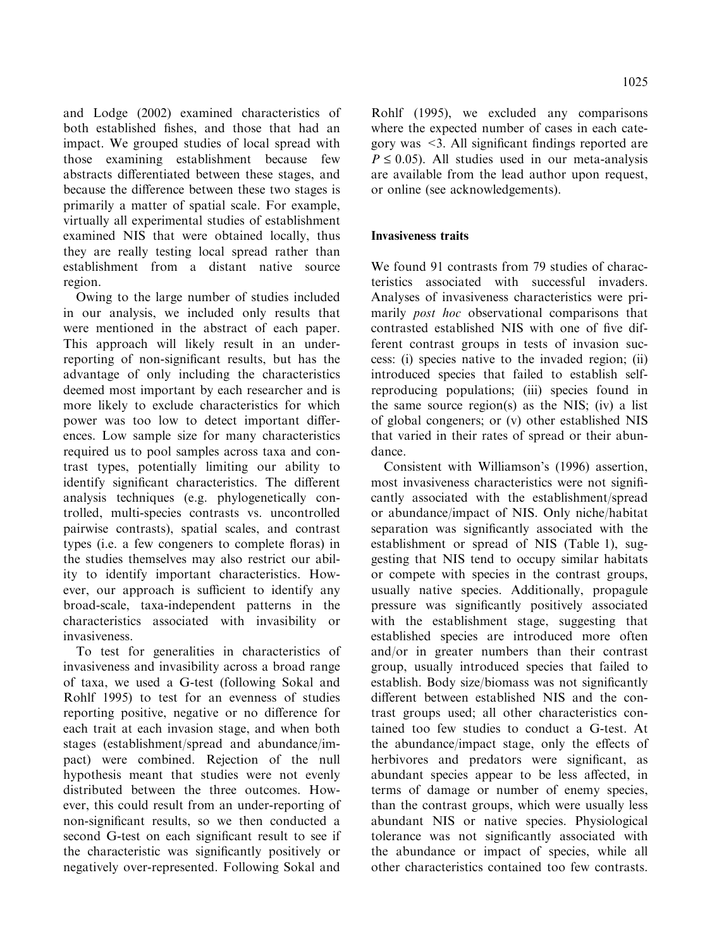and Lodge (2002) examined characteristics of both established fishes, and those that had an impact. We grouped studies of local spread with those examining establishment because few abstracts differentiated between these stages, and because the difference between these two stages is primarily a matter of spatial scale. For example, virtually all experimental studies of establishment examined NIS that were obtained locally, thus they are really testing local spread rather than establishment from a distant native source region.

Owing to the large number of studies included in our analysis, we included only results that were mentioned in the abstract of each paper. This approach will likely result in an underreporting of non-significant results, but has the advantage of only including the characteristics deemed most important by each researcher and is more likely to exclude characteristics for which power was too low to detect important differences. Low sample size for many characteristics required us to pool samples across taxa and contrast types, potentially limiting our ability to identify significant characteristics. The different analysis techniques (e.g. phylogenetically controlled, multi-species contrasts vs. uncontrolled pairwise contrasts), spatial scales, and contrast types (i.e. a few congeners to complete floras) in the studies themselves may also restrict our ability to identify important characteristics. However, our approach is sufficient to identify any broad-scale, taxa-independent patterns in the characteristics associated with invasibility or invasiveness.

To test for generalities in characteristics of invasiveness and invasibility across a broad range of taxa, we used a G-test (following Sokal and Rohlf 1995) to test for an evenness of studies reporting positive, negative or no difference for each trait at each invasion stage, and when both stages (establishment/spread and abundance/impact) were combined. Rejection of the null hypothesis meant that studies were not evenly distributed between the three outcomes. However, this could result from an under-reporting of non-significant results, so we then conducted a second G-test on each significant result to see if the characteristic was significantly positively or negatively over-represented. Following Sokal and Rohlf (1995), we excluded any comparisons where the expected number of cases in each category was <3. All significant findings reported are  $P \le 0.05$ ). All studies used in our meta-analysis are available from the lead author upon request, or online (see acknowledgements).

### Invasiveness traits

We found 91 contrasts from 79 studies of characteristics associated with successful invaders. Analyses of invasiveness characteristics were primarily post hoc observational comparisons that contrasted established NIS with one of five different contrast groups in tests of invasion success: (i) species native to the invaded region; (ii) introduced species that failed to establish selfreproducing populations; (iii) species found in the same source region(s) as the NIS; (iv) a list of global congeners; or (v) other established NIS that varied in their rates of spread or their abundance.

Consistent with Williamson's (1996) assertion, most invasiveness characteristics were not significantly associated with the establishment/spread or abundance/impact of NIS. Only niche/habitat separation was significantly associated with the establishment or spread of NIS (Table 1), suggesting that NIS tend to occupy similar habitats or compete with species in the contrast groups, usually native species. Additionally, propagule pressure was significantly positively associated with the establishment stage, suggesting that established species are introduced more often and/or in greater numbers than their contrast group, usually introduced species that failed to establish. Body size/biomass was not significantly different between established NIS and the contrast groups used; all other characteristics contained too few studies to conduct a G-test. At the abundance/impact stage, only the effects of herbivores and predators were significant, as abundant species appear to be less affected, in terms of damage or number of enemy species, than the contrast groups, which were usually less abundant NIS or native species. Physiological tolerance was not significantly associated with the abundance or impact of species, while all other characteristics contained too few contrasts.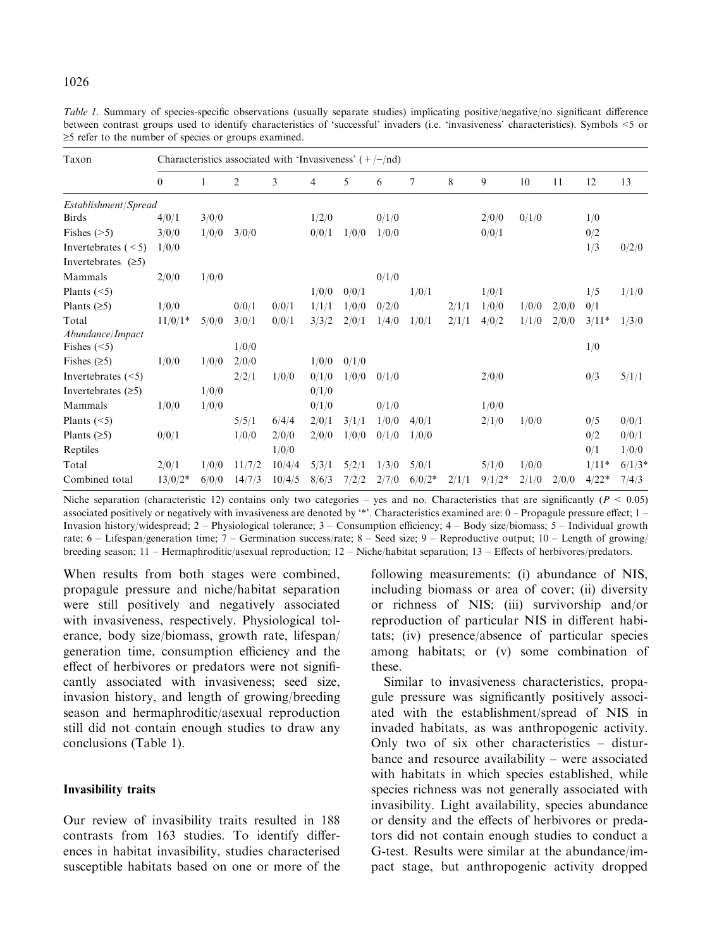| Table 1. Summary of species-specific observations (usually separate studies) implicating positive/negative/no significant difference   |  |
|----------------------------------------------------------------------------------------------------------------------------------------|--|
| between contrast groups used to identify characteristics of 'successful' invaders (i.e. 'invasiveness' characteristics). Symbols <5 or |  |
| $\geq$ 5 refer to the number of species or groups examined.                                                                            |  |

| Taxon                 | Characteristics associated with 'Invasiveness' $(+/-/nd)$ |       |                |        |       |       |       |          |       |          |       |       |         |          |
|-----------------------|-----------------------------------------------------------|-------|----------------|--------|-------|-------|-------|----------|-------|----------|-------|-------|---------|----------|
|                       | $\mathbf{0}$                                              | 1     | $\overline{2}$ | 3      | 4     | 5     | 6     | 7        | 8     | 9        | 10    | 11    | 12      | 13       |
| Establishment/Spread  |                                                           |       |                |        |       |       |       |          |       |          |       |       |         |          |
| <b>Birds</b>          | 4/0/1                                                     | 3/0/0 |                |        | 1/2/0 |       | 0/1/0 |          |       | 2/0/0    | 0/1/0 |       | 1/0     |          |
| Fishes $(>=5)$        | 3/0/0                                                     | 1/0/0 | 3/0/0          |        | 0/0/1 | 1/0/0 | 1/0/0 |          |       | 0/0/1    |       |       | 0/2     |          |
| Invertebrates $(< 5)$ | 1/0/0                                                     |       |                |        |       |       |       |          |       |          |       |       | 1/3     | 0/2/0    |
| Invertebrates $(≥5)$  |                                                           |       |                |        |       |       |       |          |       |          |       |       |         |          |
| Mammals               | 2/0/0                                                     | 1/0/0 |                |        |       |       | 0/1/0 |          |       |          |       |       |         |          |
| Plants $(<5)$         |                                                           |       |                |        | 1/0/0 | 0/0/1 |       | 1/0/1    |       | 1/0/1    |       |       | 1/5     | 1/1/0    |
| Plants $(25)$         | 1/0/0                                                     |       | 0/0/1          | 0/0/1  | 1/1/1 | 1/0/0 | 0/2/0 |          | 2/1/1 | 1/0/0    | 1/0/0 | 2/0/0 | 0/1     |          |
| Total                 | $11/0/1*$                                                 | 5/0/0 | 3/0/1          | 0/0/1  | 3/3/2 | 2/0/1 | 1/4/0 | 1/0/1    | 2/1/1 | 4/0/2    | 1/1/0 | 2/0/0 | $3/11*$ | 1/3/0    |
| Abundance/Impact      |                                                           |       |                |        |       |       |       |          |       |          |       |       |         |          |
| Fishes $(<5)$         |                                                           |       | 1/0/0          |        |       |       |       |          |       |          |       |       | 1/0     |          |
| Fishes $(≥5)$         | 1/0/0                                                     | 1/0/0 | 2/0/0          |        | 1/0/0 | 0/1/0 |       |          |       |          |       |       |         |          |
| Invertebrates $(<5)$  |                                                           |       | 2/2/1          | 1/0/0  | 0/1/0 | 1/0/0 | 0/1/0 |          |       | 2/0/0    |       |       | 0/3     | 5/1/1    |
| Invertebrates $(≥5)$  |                                                           | 1/0/0 |                |        | 0/1/0 |       |       |          |       |          |       |       |         |          |
| Mammals               | 1/0/0                                                     | 1/0/0 |                |        | 0/1/0 |       | 0/1/0 |          |       | 1/0/0    |       |       |         |          |
| Plants $(<5)$         |                                                           |       | 5/5/1          | 6/4/4  | 2/0/1 | 3/1/1 | 1/0/0 | 4/0/1    |       | 2/1/0    | 1/0/0 |       | 0/5     | 0/0/1    |
| Plants $(≥5)$         | 0/0/1                                                     |       | 1/0/0          | 2/0/0  | 2/0/0 | 1/0/0 | 0/1/0 | 1/0/0    |       |          |       |       | 0/2     | 0/0/1    |
| Reptiles              |                                                           |       |                | 1/0/0  |       |       |       |          |       |          |       |       | 0/1     | 1/0/0    |
| Total                 | 2/0/1                                                     | 1/0/0 | 11/7/2         | 10/4/4 | 5/3/1 | 5/2/1 | 1/3/0 | 5/0/1    |       | 5/1/0    | 1/0/0 |       | $1/11*$ | $6/1/3*$ |
| Combined total        | $13/0/2*$                                                 | 6/0/0 | 14/7/3         | 10/4/5 | 8/6/3 | 7/2/2 | 2/7/0 | $6/0/2*$ | 2/1/1 | $9/1/2*$ | 2/1/0 | 2/0/0 | $4/22*$ | 7/4/3    |

Niche separation (characteristic 12) contains only two categories – yes and no. Characteristics that are significantly ( $P < 0.05$ ) associated positively or negatively with invasiveness are denoted by '\*'. Characteristics examined are: 0 – Propagule pressure effect; 1 – Invasion history/widespread; 2 – Physiological tolerance; 3 – Consumption efficiency; 4 – Body size/biomass; 5 – Individual growth rate;  $6 -$  Lifespan/generation time;  $7 -$  Germination success/rate;  $8 -$  Seed size;  $9 -$  Reproductive output;  $10 -$  Length of growing/ breeding season; 11 – Hermaphroditic/asexual reproduction; 12 – Niche/habitat separation; 13 – Effects of herbivores/predators.

When results from both stages were combined, propagule pressure and niche/habitat separation were still positively and negatively associated with invasiveness, respectively. Physiological tolerance, body size/biomass, growth rate, lifespan/ generation time, consumption efficiency and the effect of herbivores or predators were not significantly associated with invasiveness; seed size, invasion history, and length of growing/breeding season and hermaphroditic/asexual reproduction still did not contain enough studies to draw any conclusions (Table 1).

#### Invasibility traits

Our review of invasibility traits resulted in 188 contrasts from 163 studies. To identify differences in habitat invasibility, studies characterised susceptible habitats based on one or more of the following measurements: (i) abundance of NIS, including biomass or area of cover; (ii) diversity or richness of NIS; (iii) survivorship and/or reproduction of particular NIS in different habitats; (iv) presence/absence of particular species among habitats; or (v) some combination of these.

Similar to invasiveness characteristics, propagule pressure was significantly positively associated with the establishment/spread of NIS in invaded habitats, as was anthropogenic activity. Only two of six other characteristics – disturbance and resource availability – were associated with habitats in which species established, while species richness was not generally associated with invasibility. Light availability, species abundance or density and the effects of herbivores or predators did not contain enough studies to conduct a G-test. Results were similar at the abundance/impact stage, but anthropogenic activity dropped

### 1026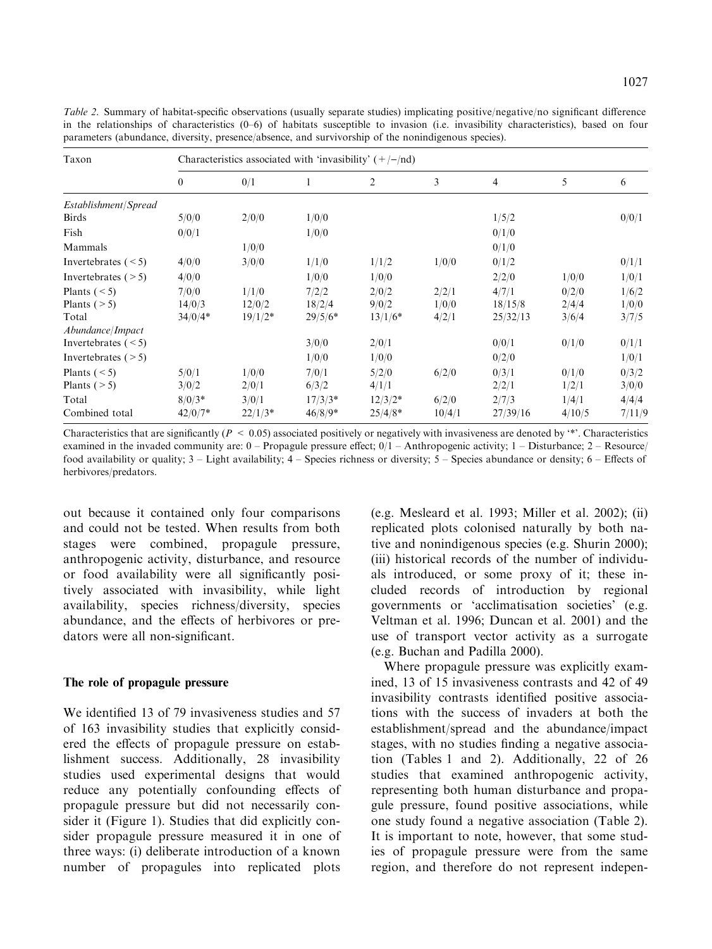Table 2. Summary of habitat-specific observations (usually separate studies) implicating positive/negative/no significant difference in the relationships of characteristics (0–6) of habitats susceptible to invasion (i.e. invasibility characteristics), based on four parameters (abundance, diversity, presence/absence, and survivorship of the nonindigenous species).

| Taxon                  | Characteristics associated with 'invasibility' $(+/-/nd)$ |           |           |                |        |                |        |        |  |  |  |
|------------------------|-----------------------------------------------------------|-----------|-----------|----------------|--------|----------------|--------|--------|--|--|--|
|                        | $\theta$                                                  | 0/1       |           | $\overline{2}$ | 3      | $\overline{4}$ | 5      | 6      |  |  |  |
| Establishment/Spread   |                                                           |           |           |                |        |                |        |        |  |  |  |
| <b>Birds</b>           | 5/0/0                                                     | 2/0/0     | 1/0/0     |                |        | 1/5/2          |        | 0/0/1  |  |  |  |
| Fish                   | 0/0/1                                                     |           | 1/0/0     |                |        | 0/1/0          |        |        |  |  |  |
| Mammals                |                                                           | 1/0/0     |           |                |        | 0/1/0          |        |        |  |  |  |
| Invertebrates $(< 5)$  | 4/0/0                                                     | 3/0/0     | 1/1/0     | 1/1/2          | 1/0/0  | 0/1/2          |        | 0/1/1  |  |  |  |
| Invertebrates $($ > 5) | 4/0/0                                                     |           | 1/0/0     | 1/0/0          |        | 2/2/0          | 1/0/0  | 1/0/1  |  |  |  |
| Plants $(< 5)$         | 7/0/0                                                     | 1/1/0     | 7/2/2     | 2/0/2          | 2/2/1  | 4/7/1          | 0/2/0  | 1/6/2  |  |  |  |
| Plants $($ > 5)        | 14/0/3                                                    | 12/0/2    | 18/2/4    | 9/0/2          | 1/0/0  | 18/15/8        | 2/4/4  | 1/0/0  |  |  |  |
| Total                  | $34/0/4*$                                                 | $19/1/2*$ | $29/5/6*$ | $13/1/6*$      | 4/2/1  | 25/32/13       | 3/6/4  | 3/7/5  |  |  |  |
| Abundance/Impact       |                                                           |           |           |                |        |                |        |        |  |  |  |
| Invertebrates $(< 5)$  |                                                           |           | 3/0/0     | 2/0/1          |        | 0/0/1          | 0/1/0  | 0/1/1  |  |  |  |
| Invertebrates $($ > 5) |                                                           |           | 1/0/0     | 1/0/0          |        | 0/2/0          |        | 1/0/1  |  |  |  |
| Plants $(< 5)$         | 5/0/1                                                     | 1/0/0     | 7/0/1     | 5/2/0          | 6/2/0  | 0/3/1          | 0/1/0  | 0/3/2  |  |  |  |
| Plants ( $> 5$ )       | 3/0/2                                                     | 2/0/1     | 6/3/2     | 4/1/1          |        | 2/2/1          | 1/2/1  | 3/0/0  |  |  |  |
| Total                  | $8/0/3*$                                                  | 3/0/1     | $17/3/3*$ | $12/3/2*$      | 6/2/0  | 2/7/3          | 1/4/1  | 4/4/4  |  |  |  |
| Combined total         | $42/0/7*$                                                 | $22/1/3*$ | $46/8/9*$ | $25/4/8*$      | 10/4/1 | 27/39/16       | 4/10/5 | 7/11/9 |  |  |  |

Characteristics that are significantly ( $P < 0.05$ ) associated positively or negatively with invasiveness are denoted by  $**$ . Characteristics examined in the invaded community are:  $0 -$ Propagule pressure effect:  $0/1 -$ Anthropogenic activity;  $1 -$ Disturbance:  $2 -$ Resource/ food availability or quality; 3 – Light availability; 4 – Species richness or diversity; 5 – Species abundance or density; 6 – Effects of herbivores/predators.

out because it contained only four comparisons and could not be tested. When results from both stages were combined, propagule pressure, anthropogenic activity, disturbance, and resource or food availability were all significantly positively associated with invasibility, while light availability, species richness/diversity, species abundance, and the effects of herbivores or predators were all non-significant.

#### The role of propagule pressure

We identified 13 of 79 invasiveness studies and 57 of 163 invasibility studies that explicitly considered the effects of propagule pressure on establishment success. Additionally, 28 invasibility studies used experimental designs that would reduce any potentially confounding effects of propagule pressure but did not necessarily consider it (Figure 1). Studies that did explicitly consider propagule pressure measured it in one of three ways: (i) deliberate introduction of a known number of propagules into replicated plots (e.g. Mesleard et al. 1993; Miller et al. 2002); (ii) replicated plots colonised naturally by both native and nonindigenous species (e.g. Shurin 2000); (iii) historical records of the number of individuals introduced, or some proxy of it; these included records of introduction by regional governments or 'acclimatisation societies' (e.g. Veltman et al. 1996; Duncan et al. 2001) and the use of transport vector activity as a surrogate (e.g. Buchan and Padilla 2000).

Where propagule pressure was explicitly examined, 13 of 15 invasiveness contrasts and 42 of 49 invasibility contrasts identified positive associations with the success of invaders at both the establishment/spread and the abundance/impact stages, with no studies finding a negative association (Tables 1 and 2). Additionally, 22 of 26 studies that examined anthropogenic activity, representing both human disturbance and propagule pressure, found positive associations, while one study found a negative association (Table 2). It is important to note, however, that some studies of propagule pressure were from the same region, and therefore do not represent indepen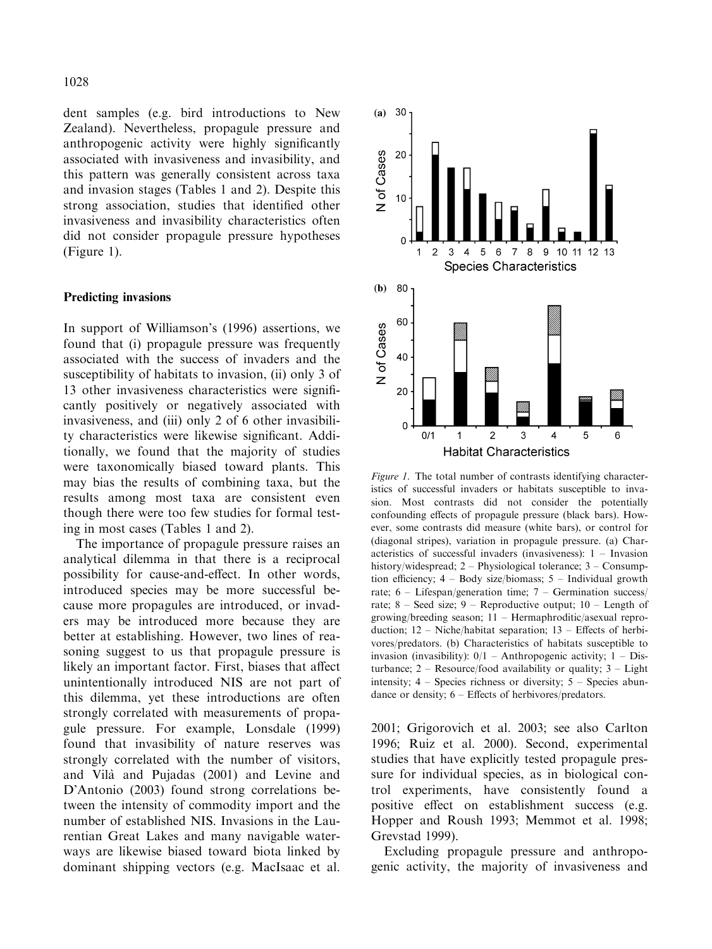dent samples (e.g. bird introductions to New Zealand). Nevertheless, propagule pressure and anthropogenic activity were highly significantly associated with invasiveness and invasibility, and this pattern was generally consistent across taxa and invasion stages (Tables 1 and 2). Despite this strong association, studies that identified other invasiveness and invasibility characteristics often did not consider propagule pressure hypotheses (Figure 1).

#### Predicting invasions

In support of Williamson's (1996) assertions, we found that (i) propagule pressure was frequently associated with the success of invaders and the susceptibility of habitats to invasion, (ii) only 3 of 13 other invasiveness characteristics were significantly positively or negatively associated with invasiveness, and (iii) only 2 of 6 other invasibility characteristics were likewise significant. Additionally, we found that the majority of studies were taxonomically biased toward plants. This may bias the results of combining taxa, but the results among most taxa are consistent even though there were too few studies for formal testing in most cases (Tables 1 and 2).

The importance of propagule pressure raises an analytical dilemma in that there is a reciprocal possibility for cause-and-effect. In other words, introduced species may be more successful because more propagules are introduced, or invaders may be introduced more because they are better at establishing. However, two lines of reasoning suggest to us that propagule pressure is likely an important factor. First, biases that affect unintentionally introduced NIS are not part of this dilemma, yet these introductions are often strongly correlated with measurements of propagule pressure. For example, Lonsdale (1999) found that invasibility of nature reserves was strongly correlated with the number of visitors, and Vila` and Pujadas (2001) and Levine and D'Antonio (2003) found strong correlations between the intensity of commodity import and the number of established NIS. Invasions in the Laurentian Great Lakes and many navigable waterways are likewise biased toward biota linked by dominant shipping vectors (e.g. MacIsaac et al.



Figure 1. The total number of contrasts identifying characteristics of successful invaders or habitats susceptible to invasion. Most contrasts did not consider the potentially confounding effects of propagule pressure (black bars). However, some contrasts did measure (white bars), or control for (diagonal stripes), variation in propagule pressure. (a) Characteristics of successful invaders (invasiveness): 1 – Invasion history/widespread; 2 – Physiological tolerance; 3 – Consumption efficiency; 4 – Body size/biomass; 5 – Individual growth rate; 6 – Lifespan/generation time; 7 – Germination success/ rate;  $8 - \text{Seed size}$ ;  $9 - \text{Reproductive output}$ ;  $10 - \text{Length of}$ growing/breeding season; 11 – Hermaphroditic/asexual reproduction; 12 – Niche/habitat separation; 13 – Effects of herbivores/predators. (b) Characteristics of habitats susceptible to invasion (invasibility):  $0/1 -$  Anthropogenic activity:  $1 -$  Disturbance;  $2 -$  Resource/food availability or quality;  $3 -$  Light intensity;  $4 -$  Species richness or diversity;  $5 -$  Species abundance or density; 6 – Effects of herbivores/predators.

2001; Grigorovich et al. 2003; see also Carlton 1996; Ruiz et al. 2000). Second, experimental studies that have explicitly tested propagule pressure for individual species, as in biological control experiments, have consistently found a positive effect on establishment success (e.g. Hopper and Roush 1993; Memmot et al. 1998; Grevstad 1999).

Excluding propagule pressure and anthropogenic activity, the majority of invasiveness and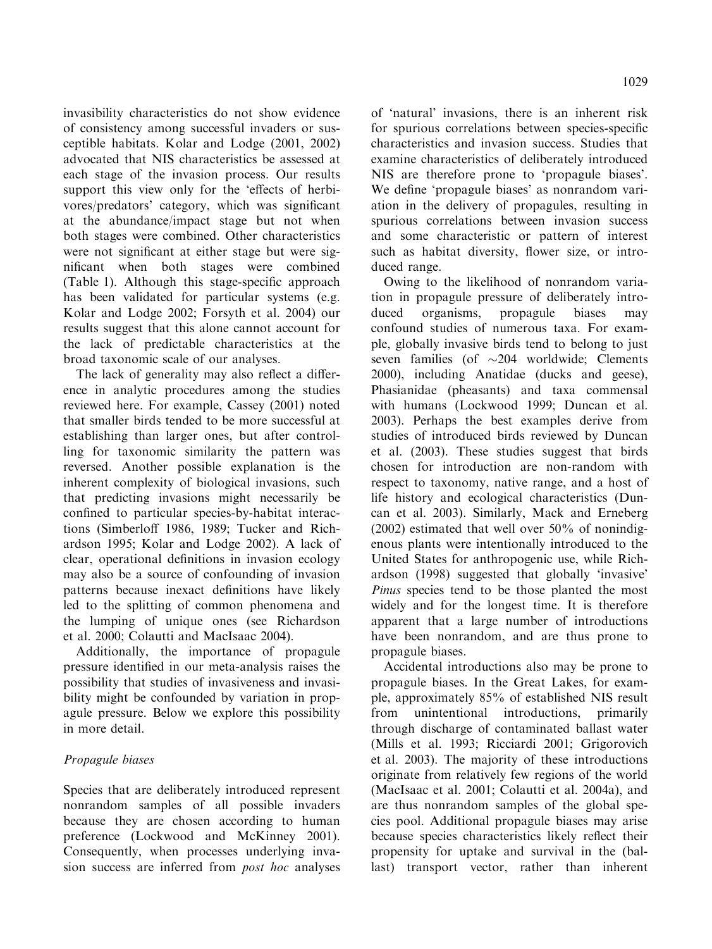invasibility characteristics do not show evidence of consistency among successful invaders or susceptible habitats. Kolar and Lodge (2001, 2002) advocated that NIS characteristics be assessed at each stage of the invasion process. Our results support this view only for the 'effects of herbivores/predators' category, which was significant at the abundance/impact stage but not when both stages were combined. Other characteristics were not significant at either stage but were significant when both stages were combined (Table 1). Although this stage-specific approach has been validated for particular systems (e.g. Kolar and Lodge 2002; Forsyth et al. 2004) our results suggest that this alone cannot account for the lack of predictable characteristics at the broad taxonomic scale of our analyses.

The lack of generality may also reflect a difference in analytic procedures among the studies reviewed here. For example, Cassey (2001) noted that smaller birds tended to be more successful at establishing than larger ones, but after controlling for taxonomic similarity the pattern was reversed. Another possible explanation is the inherent complexity of biological invasions, such that predicting invasions might necessarily be confined to particular species-by-habitat interactions (Simberloff 1986, 1989; Tucker and Richardson 1995; Kolar and Lodge 2002). A lack of clear, operational definitions in invasion ecology may also be a source of confounding of invasion patterns because inexact definitions have likely led to the splitting of common phenomena and the lumping of unique ones (see Richardson et al. 2000; Colautti and MacIsaac 2004).

Additionally, the importance of propagule pressure identified in our meta-analysis raises the possibility that studies of invasiveness and invasibility might be confounded by variation in propagule pressure. Below we explore this possibility in more detail.

## Propagule biases

Species that are deliberately introduced represent nonrandom samples of all possible invaders because they are chosen according to human preference (Lockwood and McKinney 2001). Consequently, when processes underlying invasion success are inferred from *post hoc* analyses of 'natural' invasions, there is an inherent risk for spurious correlations between species-specific characteristics and invasion success. Studies that examine characteristics of deliberately introduced NIS are therefore prone to 'propagule biases'. We define 'propagule biases' as nonrandom variation in the delivery of propagules, resulting in spurious correlations between invasion success and some characteristic or pattern of interest such as habitat diversity, flower size, or introduced range.

Owing to the likelihood of nonrandom variation in propagule pressure of deliberately introduced organisms, propagule biases may confound studies of numerous taxa. For example, globally invasive birds tend to belong to just seven families (of  $\sim$ 204 worldwide; Clements 2000), including Anatidae (ducks and geese), Phasianidae (pheasants) and taxa commensal with humans (Lockwood 1999; Duncan et al. 2003). Perhaps the best examples derive from studies of introduced birds reviewed by Duncan et al. (2003). These studies suggest that birds chosen for introduction are non-random with respect to taxonomy, native range, and a host of life history and ecological characteristics (Duncan et al. 2003). Similarly, Mack and Erneberg (2002) estimated that well over 50% of nonindigenous plants were intentionally introduced to the United States for anthropogenic use, while Richardson (1998) suggested that globally 'invasive' Pinus species tend to be those planted the most widely and for the longest time. It is therefore apparent that a large number of introductions have been nonrandom, and are thus prone to propagule biases.

Accidental introductions also may be prone to propagule biases. In the Great Lakes, for example, approximately 85% of established NIS result from unintentional introductions, primarily through discharge of contaminated ballast water (Mills et al. 1993; Ricciardi 2001; Grigorovich et al. 2003). The majority of these introductions originate from relatively few regions of the world (MacIsaac et al. 2001; Colautti et al. 2004a), and are thus nonrandom samples of the global species pool. Additional propagule biases may arise because species characteristics likely reflect their propensity for uptake and survival in the (ballast) transport vector, rather than inherent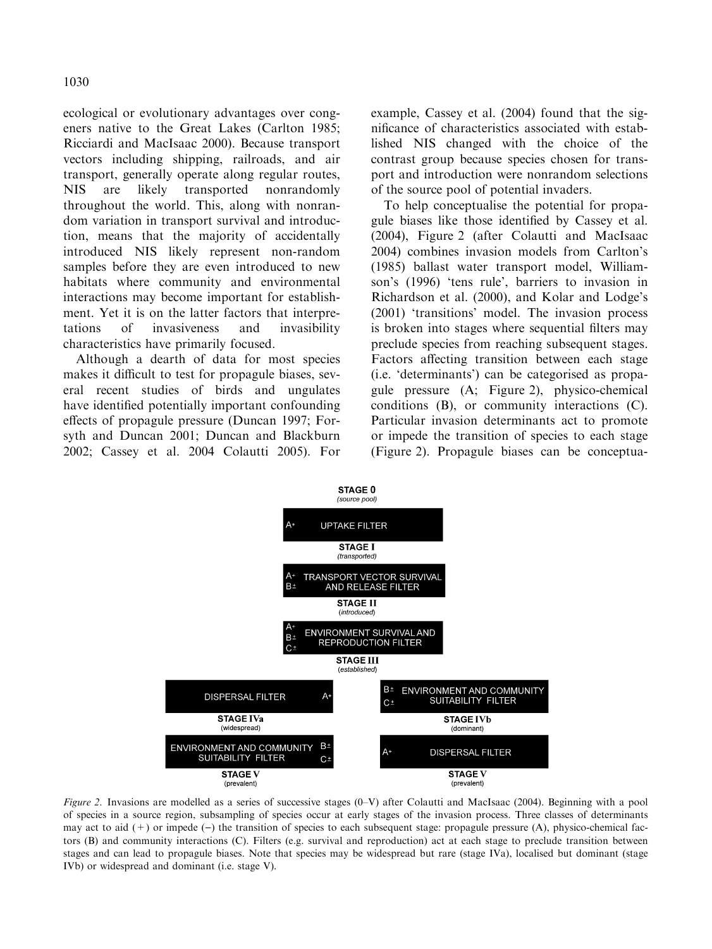ecological or evolutionary advantages over congeners native to the Great Lakes (Carlton 1985; Ricciardi and MacIsaac 2000). Because transport vectors including shipping, railroads, and air transport, generally operate along regular routes, NIS are likely transported nonrandomly throughout the world. This, along with nonrandom variation in transport survival and introduction, means that the majority of accidentally introduced NIS likely represent non-random samples before they are even introduced to new habitats where community and environmental interactions may become important for establishment. Yet it is on the latter factors that interpretations of invasiveness and invasibility characteristics have primarily focused.

Although a dearth of data for most species makes it difficult to test for propagule biases, several recent studies of birds and ungulates have identified potentially important confounding effects of propagule pressure (Duncan 1997; Forsyth and Duncan 2001; Duncan and Blackburn 2002; Cassey et al. 2004 Colautti 2005). For example, Cassey et al. (2004) found that the significance of characteristics associated with established NIS changed with the choice of the contrast group because species chosen for transport and introduction were nonrandom selections of the source pool of potential invaders.

To help conceptualise the potential for propagule biases like those identified by Cassey et al. (2004), Figure 2 (after Colautti and MacIsaac 2004) combines invasion models from Carlton's (1985) ballast water transport model, Williamson's (1996) 'tens rule', barriers to invasion in Richardson et al. (2000), and Kolar and Lodge's (2001) 'transitions' model. The invasion process is broken into stages where sequential filters may preclude species from reaching subsequent stages. Factors affecting transition between each stage (i.e. 'determinants') can be categorised as propagule pressure (A; Figure 2), physico-chemical conditions (B), or community interactions (C). Particular invasion determinants act to promote or impede the transition of species to each stage (Figure 2). Propagule biases can be conceptua-



Figure 2. Invasions are modelled as a series of successive stages (0-V) after Colautti and MacIsaac (2004). Beginning with a pool of species in a source region, subsampling of species occur at early stages of the invasion process. Three classes of determinants may act to aid  $(+)$  or impede  $(-)$  the transition of species to each subsequent stage: propagule pressure  $(A)$ , physico-chemical factors (B) and community interactions (C). Filters (e.g. survival and reproduction) act at each stage to preclude transition between stages and can lead to propagule biases. Note that species may be widespread but rare (stage IVa), localised but dominant (stage IVb) or widespread and dominant (i.e. stage V).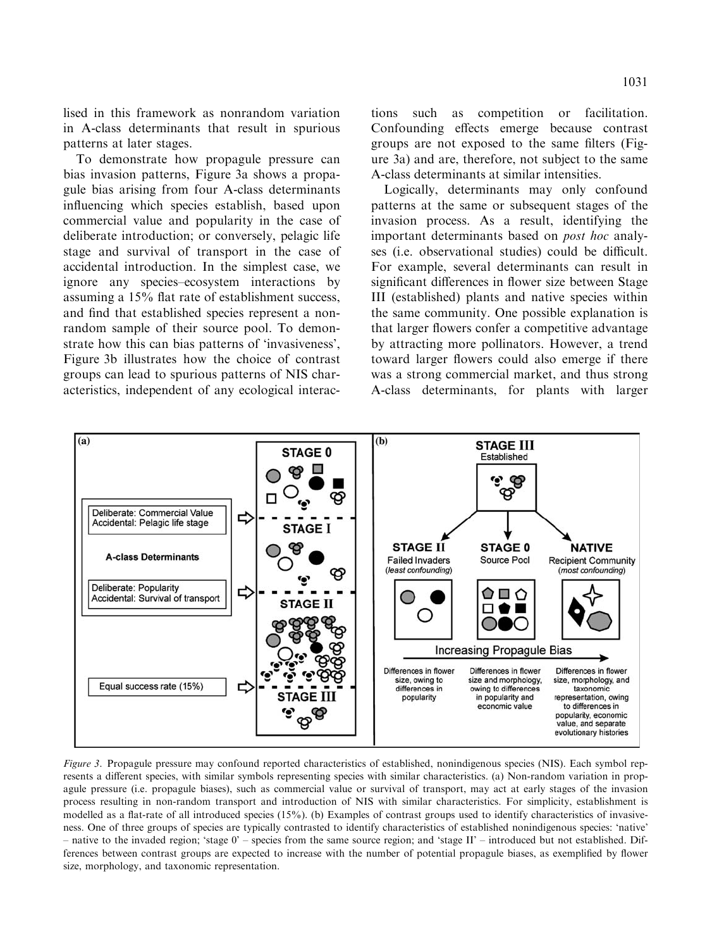lised in this framework as nonrandom variation in A-class determinants that result in spurious patterns at later stages.

To demonstrate how propagule pressure can bias invasion patterns, Figure 3a shows a propagule bias arising from four A-class determinants influencing which species establish, based upon commercial value and popularity in the case of deliberate introduction; or conversely, pelagic life stage and survival of transport in the case of accidental introduction. In the simplest case, we ignore any species–ecosystem interactions by assuming a 15% flat rate of establishment success, and find that established species represent a nonrandom sample of their source pool. To demonstrate how this can bias patterns of 'invasiveness', Figure 3b illustrates how the choice of contrast groups can lead to spurious patterns of NIS characteristics, independent of any ecological interactions such as competition or facilitation. Confounding effects emerge because contrast groups are not exposed to the same filters (Figure 3a) and are, therefore, not subject to the same A-class determinants at similar intensities.

Logically, determinants may only confound patterns at the same or subsequent stages of the invasion process. As a result, identifying the important determinants based on post hoc analyses (i.e. observational studies) could be difficult. For example, several determinants can result in significant differences in flower size between Stage III (established) plants and native species within the same community. One possible explanation is that larger flowers confer a competitive advantage by attracting more pollinators. However, a trend toward larger flowers could also emerge if there was a strong commercial market, and thus strong A-class determinants, for plants with larger



Figure 3. Propagule pressure may confound reported characteristics of established, nonindigenous species (NIS). Each symbol represents a different species, with similar symbols representing species with similar characteristics. (a) Non-random variation in propagule pressure (i.e. propagule biases), such as commercial value or survival of transport, may act at early stages of the invasion process resulting in non-random transport and introduction of NIS with similar characteristics. For simplicity, establishment is modelled as a flat-rate of all introduced species (15%). (b) Examples of contrast groups used to identify characteristics of invasiveness. One of three groups of species are typically contrasted to identify characteristics of established nonindigenous species: 'native' – native to the invaded region; 'stage 0' – species from the same source region; and 'stage II' – introduced but not established. Differences between contrast groups are expected to increase with the number of potential propagule biases, as exemplified by flower size, morphology, and taxonomic representation.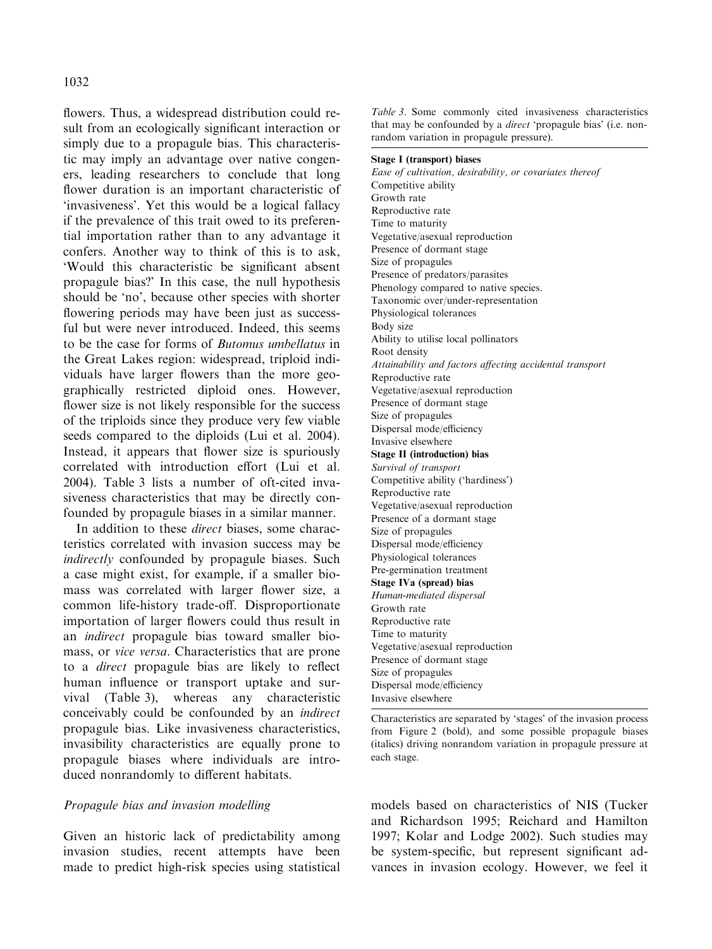### 1032

flowers. Thus, a widespread distribution could result from an ecologically significant interaction or simply due to a propagule bias. This characteristic may imply an advantage over native congeners, leading researchers to conclude that long flower duration is an important characteristic of 'invasiveness'. Yet this would be a logical fallacy if the prevalence of this trait owed to its preferential importation rather than to any advantage it confers. Another way to think of this is to ask, 'Would this characteristic be significant absent propagule bias?' In this case, the null hypothesis should be 'no', because other species with shorter flowering periods may have been just as successful but were never introduced. Indeed, this seems to be the case for forms of Butomus umbellatus in the Great Lakes region: widespread, triploid individuals have larger flowers than the more geographically restricted diploid ones. However, flower size is not likely responsible for the success of the triploids since they produce very few viable seeds compared to the diploids (Lui et al. 2004). Instead, it appears that flower size is spuriously correlated with introduction effort (Lui et al. 2004). Table 3 lists a number of oft-cited invasiveness characteristics that may be directly confounded by propagule biases in a similar manner.

In addition to these *direct* biases, some characteristics correlated with invasion success may be indirectly confounded by propagule biases. Such a case might exist, for example, if a smaller biomass was correlated with larger flower size, a common life-history trade-off. Disproportionate importation of larger flowers could thus result in an indirect propagule bias toward smaller biomass, or vice versa. Characteristics that are prone to a direct propagule bias are likely to reflect human influence or transport uptake and survival (Table 3), whereas any characteristic conceivably could be confounded by an indirect propagule bias. Like invasiveness characteristics, invasibility characteristics are equally prone to propagule biases where individuals are introduced nonrandomly to different habitats.

## Propagule bias and invasion modelling

Given an historic lack of predictability among invasion studies, recent attempts have been made to predict high-risk species using statistical

Table 3. Some commonly cited invasiveness characteristics that may be confounded by a *direct* 'propagule bias' (i.e. nonrandom variation in propagule pressure).

#### Stage I (transport) biases

Ease of cultivation, desirability, or covariates thereof Competitive ability Growth rate Reproductive rate Time to maturity Vegetative/asexual reproduction Presence of dormant stage Size of propagules Presence of predators/parasites Phenology compared to native species. Taxonomic over/under-representation Physiological tolerances Body size Ability to utilise local pollinators Root density Attainability and factors affecting accidental transport Reproductive rate Vegetative/asexual reproduction Presence of dormant stage Size of propagules Dispersal mode/efficiency Invasive elsewhere Stage II (introduction) bias Survival of transport Competitive ability ('hardiness') Reproductive rate Vegetative/asexual reproduction Presence of a dormant stage Size of propagules Dispersal mode/efficiency Physiological tolerances Pre-germination treatment Stage IVa (spread) bias Human-mediated dispersal Growth rate Reproductive rate Time to maturity Vegetative/asexual reproduction Presence of dormant stage Size of propagules Dispersal mode/efficiency Invasive elsewhere

Characteristics are separated by 'stages' of the invasion process from Figure 2 (bold), and some possible propagule biases (italics) driving nonrandom variation in propagule pressure at each stage.

models based on characteristics of NIS (Tucker and Richardson 1995; Reichard and Hamilton 1997; Kolar and Lodge 2002). Such studies may be system-specific, but represent significant advances in invasion ecology. However, we feel it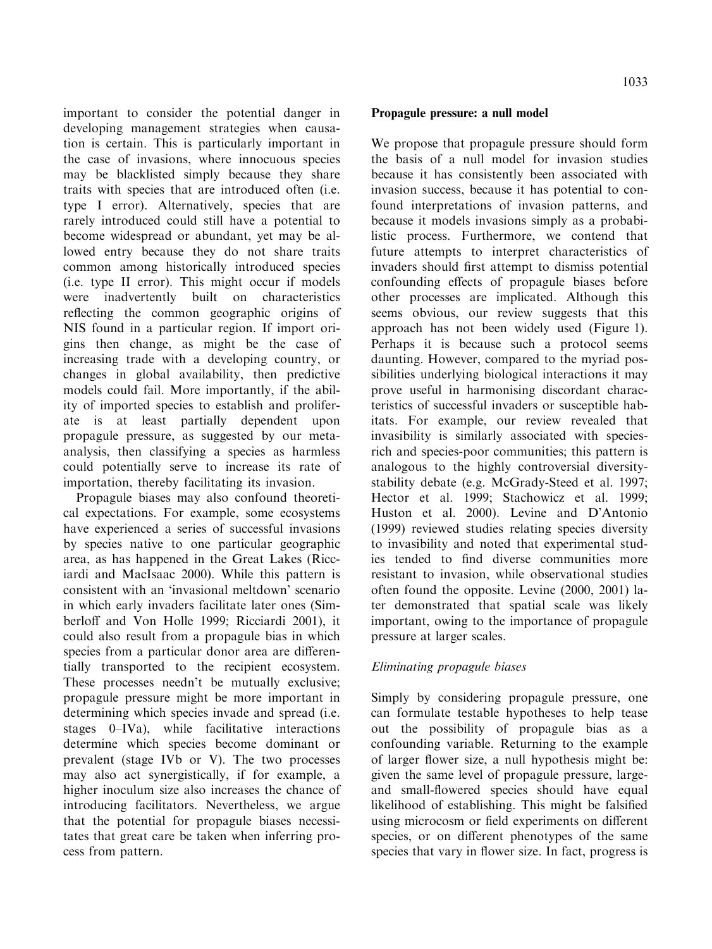important to consider the potential danger in developing management strategies when causation is certain. This is particularly important in the case of invasions, where innocuous species may be blacklisted simply because they share traits with species that are introduced often (i.e. type I error). Alternatively, species that are rarely introduced could still have a potential to become widespread or abundant, yet may be allowed entry because they do not share traits common among historically introduced species (i.e. type II error). This might occur if models were inadvertently built on characteristics reflecting the common geographic origins of NIS found in a particular region. If import origins then change, as might be the case of increasing trade with a developing country, or changes in global availability, then predictive models could fail. More importantly, if the ability of imported species to establish and proliferate is at least partially dependent upon propagule pressure, as suggested by our metaanalysis, then classifying a species as harmless could potentially serve to increase its rate of importation, thereby facilitating its invasion.

Propagule biases may also confound theoretical expectations. For example, some ecosystems have experienced a series of successful invasions by species native to one particular geographic area, as has happened in the Great Lakes (Ricciardi and MacIsaac 2000). While this pattern is consistent with an 'invasional meltdown' scenario in which early invaders facilitate later ones (Simberloff and Von Holle 1999; Ricciardi 2001), it could also result from a propagule bias in which species from a particular donor area are differentially transported to the recipient ecosystem. These processes needn't be mutually exclusive; propagule pressure might be more important in determining which species invade and spread (i.e. stages 0–IVa), while facilitative interactions determine which species become dominant or prevalent (stage IVb or V). The two processes may also act synergistically, if for example, a higher inoculum size also increases the chance of introducing facilitators. Nevertheless, we argue that the potential for propagule biases necessitates that great care be taken when inferring process from pattern.

### Propagule pressure: a null model

We propose that propagule pressure should form the basis of a null model for invasion studies because it has consistently been associated with invasion success, because it has potential to confound interpretations of invasion patterns, and because it models invasions simply as a probabilistic process. Furthermore, we contend that future attempts to interpret characteristics of invaders should first attempt to dismiss potential confounding effects of propagule biases before other processes are implicated. Although this seems obvious, our review suggests that this approach has not been widely used (Figure 1). Perhaps it is because such a protocol seems daunting. However, compared to the myriad possibilities underlying biological interactions it may prove useful in harmonising discordant characteristics of successful invaders or susceptible habitats. For example, our review revealed that invasibility is similarly associated with speciesrich and species-poor communities; this pattern is analogous to the highly controversial diversitystability debate (e.g. McGrady-Steed et al. 1997; Hector et al. 1999; Stachowicz et al. 1999; Huston et al. 2000). Levine and D'Antonio (1999) reviewed studies relating species diversity to invasibility and noted that experimental studies tended to find diverse communities more resistant to invasion, while observational studies often found the opposite. Levine (2000, 2001) later demonstrated that spatial scale was likely important, owing to the importance of propagule pressure at larger scales.

## Eliminating propagule biases

Simply by considering propagule pressure, one can formulate testable hypotheses to help tease out the possibility of propagule bias as a confounding variable. Returning to the example of larger flower size, a null hypothesis might be: given the same level of propagule pressure, largeand small-flowered species should have equal likelihood of establishing. This might be falsified using microcosm or field experiments on different species, or on different phenotypes of the same species that vary in flower size. In fact, progress is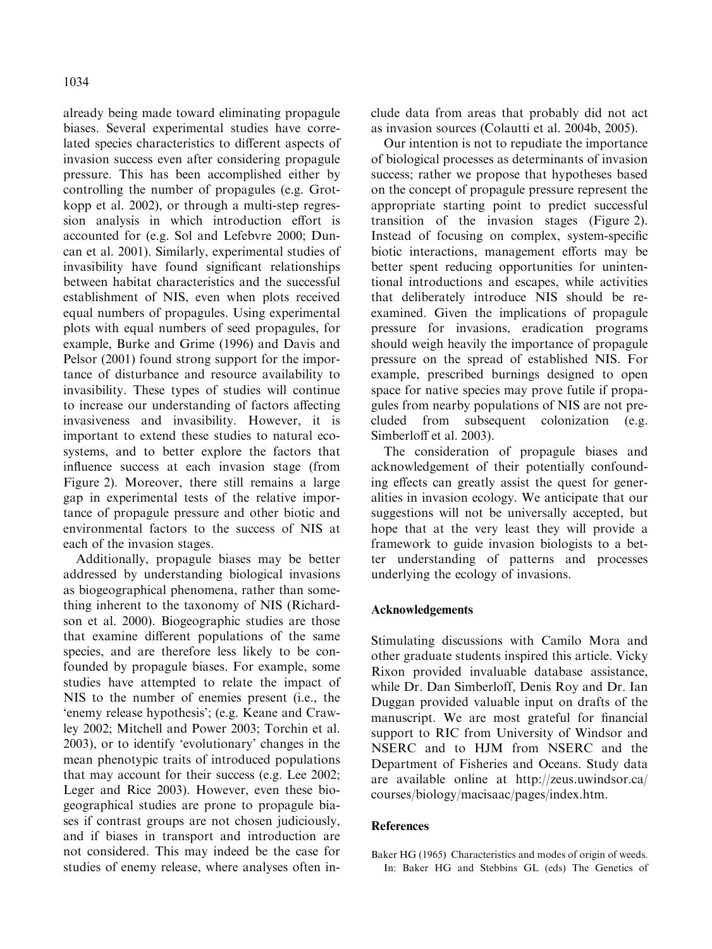already being made toward eliminating propagule biases. Several experimental studies have correlated species characteristics to different aspects of invasion success even after considering propagule pressure. This has been accomplished either by controlling the number of propagules (e.g. Grotkopp et al. 2002), or through a multi-step regression analysis in which introduction effort is accounted for (e.g. Sol and Lefebvre 2000; Duncan et al. 2001). Similarly, experimental studies of invasibility have found significant relationships between habitat characteristics and the successful establishment of NIS, even when plots received equal numbers of propagules. Using experimental plots with equal numbers of seed propagules, for example, Burke and Grime (1996) and Davis and Pelsor (2001) found strong support for the importance of disturbance and resource availability to invasibility. These types of studies will continue to increase our understanding of factors affecting invasiveness and invasibility. However, it is important to extend these studies to natural ecosystems, and to better explore the factors that influence success at each invasion stage (from Figure 2). Moreover, there still remains a large gap in experimental tests of the relative importance of propagule pressure and other biotic and environmental factors to the success of NIS at each of the invasion stages.

Additionally, propagule biases may be better addressed by understanding biological invasions as biogeographical phenomena, rather than something inherent to the taxonomy of NIS (Richardson et al. 2000). Biogeographic studies are those that examine different populations of the same species, and are therefore less likely to be confounded by propagule biases. For example, some studies have attempted to relate the impact of NIS to the number of enemies present (i.e., the 'enemy release hypothesis'; (e.g. Keane and Crawley 2002; Mitchell and Power 2003; Torchin et al. 2003), or to identify 'evolutionary' changes in the mean phenotypic traits of introduced populations that may account for their success (e.g. Lee 2002; Leger and Rice 2003). However, even these biogeographical studies are prone to propagule biases if contrast groups are not chosen judiciously, and if biases in transport and introduction are not considered. This may indeed be the case for studies of enemy release, where analyses often include data from areas that probably did not act as invasion sources (Colautti et al. 2004b, 2005).

Our intention is not to repudiate the importance of biological processes as determinants of invasion success; rather we propose that hypotheses based on the concept of propagule pressure represent the appropriate starting point to predict successful transition of the invasion stages (Figure 2). Instead of focusing on complex, system-specific biotic interactions, management efforts may be better spent reducing opportunities for unintentional introductions and escapes, while activities that deliberately introduce NIS should be reexamined. Given the implications of propagule pressure for invasions, eradication programs should weigh heavily the importance of propagule pressure on the spread of established NIS. For example, prescribed burnings designed to open space for native species may prove futile if propagules from nearby populations of NIS are not precluded from subsequent colonization (e.g. Simberloff et al. 2003).

The consideration of propagule biases and acknowledgement of their potentially confounding effects can greatly assist the quest for generalities in invasion ecology. We anticipate that our suggestions will not be universally accepted, but hope that at the very least they will provide a framework to guide invasion biologists to a better understanding of patterns and processes underlying the ecology of invasions.

### Acknowledgements

Stimulating discussions with Camilo Mora and other graduate students inspired this article. Vicky Rixon provided invaluable database assistance, while Dr. Dan Simberloff, Denis Roy and Dr. Ian Duggan provided valuable input on drafts of the manuscript. We are most grateful for financial support to RIC from University of Windsor and NSERC and to HJM from NSERC and the Department of Fisheries and Oceans. Study data are available online at http://zeus.uwindsor.ca/ courses/biology/macisaac/pages/index.htm.

### References

Baker HG (1965) Characteristics and modes of origin of weeds. In: Baker HG and Stebbins GL (eds) The Genetics of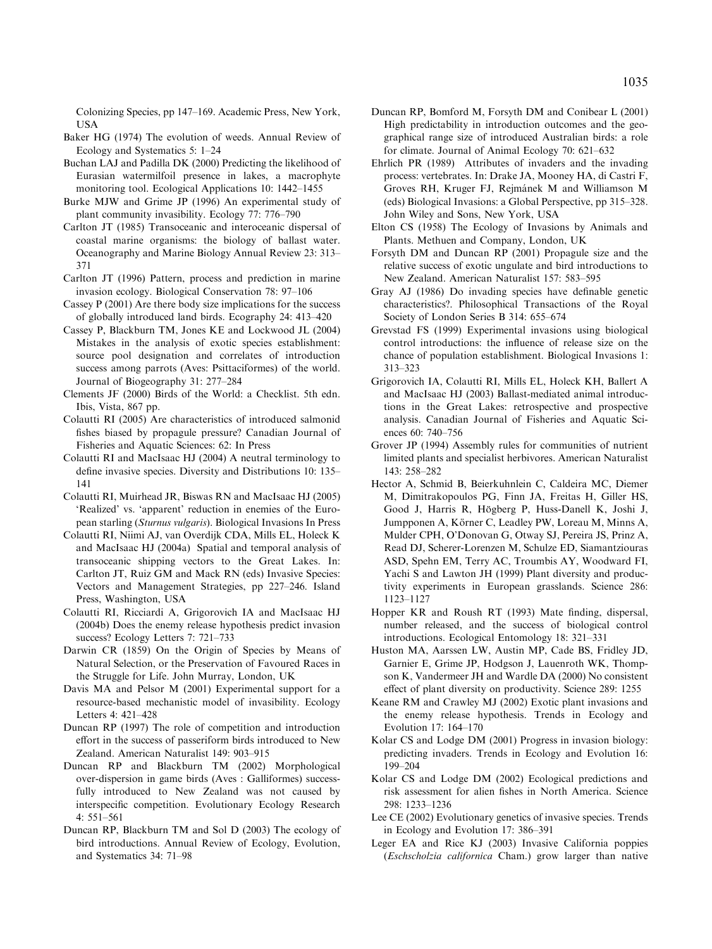Colonizing Species, pp 147–169. Academic Press, New York, **IISA** 

- Baker HG (1974) The evolution of weeds. Annual Review of Ecology and Systematics 5: 1–24
- Buchan LAJ and Padilla DK (2000) Predicting the likelihood of Eurasian watermilfoil presence in lakes, a macrophyte monitoring tool. Ecological Applications 10: 1442–1455
- Burke MJW and Grime JP (1996) An experimental study of plant community invasibility. Ecology 77: 776–790
- Carlton JT (1985) Transoceanic and interoceanic dispersal of coastal marine organisms: the biology of ballast water. Oceanography and Marine Biology Annual Review 23: 313– 371
- Carlton JT (1996) Pattern, process and prediction in marine invasion ecology. Biological Conservation 78: 97–106
- Cassey P (2001) Are there body size implications for the success of globally introduced land birds. Ecography 24: 413–420
- Cassey P, Blackburn TM, Jones KE and Lockwood JL (2004) Mistakes in the analysis of exotic species establishment: source pool designation and correlates of introduction success among parrots (Aves: Psittaciformes) of the world. Journal of Biogeography 31: 277–284
- Clements JF (2000) Birds of the World: a Checklist. 5th edn. Ibis, Vista, 867 pp.
- Colautti RI (2005) Are characteristics of introduced salmonid fishes biased by propagule pressure? Canadian Journal of Fisheries and Aquatic Sciences: 62: In Press
- Colautti RI and MacIsaac HJ (2004) A neutral terminology to define invasive species. Diversity and Distributions 10: 135– 141
- Colautti RI, Muirhead JR, Biswas RN and MacIsaac HJ (2005) 'Realized' vs. 'apparent' reduction in enemies of the European starling (Sturnus vulgaris). Biological Invasions In Press
- Colautti RI, Niimi AJ, van Overdijk CDA, Mills EL, Holeck K and MacIsaac HJ (2004a) Spatial and temporal analysis of transoceanic shipping vectors to the Great Lakes. In: Carlton JT, Ruiz GM and Mack RN (eds) Invasive Species: Vectors and Management Strategies, pp 227–246. Island Press, Washington, USA
- Colautti RI, Ricciardi A, Grigorovich IA and MacIsaac HJ (2004b) Does the enemy release hypothesis predict invasion success? Ecology Letters 7: 721–733
- Darwin CR (1859) On the Origin of Species by Means of Natural Selection, or the Preservation of Favoured Races in the Struggle for Life. John Murray, London, UK
- Davis MA and Pelsor M (2001) Experimental support for a resource-based mechanistic model of invasibility. Ecology Letters 4: 421–428
- Duncan RP (1997) The role of competition and introduction effort in the success of passeriform birds introduced to New Zealand. American Naturalist 149: 903–915
- Duncan RP and Blackburn TM (2002) Morphological over-dispersion in game birds (Aves : Galliformes) successfully introduced to New Zealand was not caused by interspecific competition. Evolutionary Ecology Research 4: 551–561
- Duncan RP, Blackburn TM and Sol D (2003) The ecology of bird introductions. Annual Review of Ecology, Evolution, and Systematics 34: 71–98
- Duncan RP, Bomford M, Forsyth DM and Conibear L (2001) High predictability in introduction outcomes and the geographical range size of introduced Australian birds: a role for climate. Journal of Animal Ecology 70: 621–632
- Ehrlich PR (1989) Attributes of invaders and the invading process: vertebrates. In: Drake JA, Mooney HA, di Castri F, Groves RH, Kruger FJ, Rejmánek M and Williamson M (eds) Biological Invasions: a Global Perspective, pp 315–328. John Wiley and Sons, New York, USA
- Elton CS (1958) The Ecology of Invasions by Animals and Plants. Methuen and Company, London, UK
- Forsyth DM and Duncan RP (2001) Propagule size and the relative success of exotic ungulate and bird introductions to New Zealand. American Naturalist 157: 583–595
- Gray AJ (1986) Do invading species have definable genetic characteristics?. Philosophical Transactions of the Royal Society of London Series B 314: 655–674
- Grevstad FS (1999) Experimental invasions using biological control introductions: the influence of release size on the chance of population establishment. Biological Invasions 1: 313–323
- Grigorovich IA, Colautti RI, Mills EL, Holeck KH, Ballert A and MacIsaac HJ (2003) Ballast-mediated animal introductions in the Great Lakes: retrospective and prospective analysis. Canadian Journal of Fisheries and Aquatic Sciences 60: 740–756
- Grover JP (1994) Assembly rules for communities of nutrient limited plants and specialist herbivores. American Naturalist 143: 258–282
- Hector A, Schmid B, Beierkuhnlein C, Caldeira MC, Diemer M, Dimitrakopoulos PG, Finn JA, Freitas H, Giller HS, Good J, Harris R, Högberg P, Huss-Danell K, Joshi J, Jumpponen A, Körner C, Leadley PW, Loreau M, Minns A, Mulder CPH, O'Donovan G, Otway SJ, Pereira JS, Prinz A, Read DJ, Scherer-Lorenzen M, Schulze ED, Siamantziouras ASD, Spehn EM, Terry AC, Troumbis AY, Woodward FI, Yachi S and Lawton JH (1999) Plant diversity and productivity experiments in European grasslands. Science 286: 1123–1127
- Hopper KR and Roush RT (1993) Mate finding, dispersal, number released, and the success of biological control introductions. Ecological Entomology 18: 321–331
- Huston MA, Aarssen LW, Austin MP, Cade BS, Fridley JD, Garnier E, Grime JP, Hodgson J, Lauenroth WK, Thompson K, Vandermeer JH and Wardle DA (2000) No consistent effect of plant diversity on productivity. Science 289: 1255
- Keane RM and Crawley MJ (2002) Exotic plant invasions and the enemy release hypothesis. Trends in Ecology and Evolution 17: 164–170
- Kolar CS and Lodge DM (2001) Progress in invasion biology: predicting invaders. Trends in Ecology and Evolution 16: 199–204
- Kolar CS and Lodge DM (2002) Ecological predictions and risk assessment for alien fishes in North America. Science 298: 1233–1236
- Lee CE (2002) Evolutionary genetics of invasive species. Trends in Ecology and Evolution 17: 386–391
- Leger EA and Rice KJ (2003) Invasive California poppies (Eschscholzia californica Cham.) grow larger than native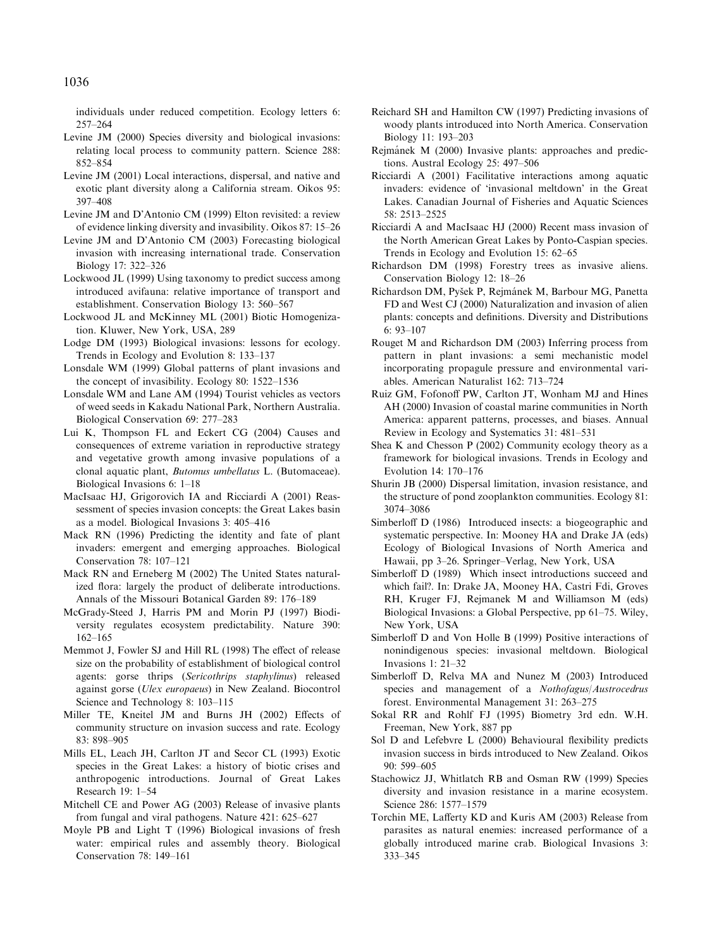individuals under reduced competition. Ecology letters 6: 257–264

- Levine JM (2000) Species diversity and biological invasions: relating local process to community pattern. Science 288: 852–854
- Levine JM (2001) Local interactions, dispersal, and native and exotic plant diversity along a California stream. Oikos 95: 397–408
- Levine JM and D'Antonio CM (1999) Elton revisited: a review of evidence linking diversity and invasibility. Oikos 87: 15–26
- Levine JM and D'Antonio CM (2003) Forecasting biological invasion with increasing international trade. Conservation Biology 17: 322–326
- Lockwood JL (1999) Using taxonomy to predict success among introduced avifauna: relative importance of transport and establishment. Conservation Biology 13: 560–567
- Lockwood JL and McKinney ML (2001) Biotic Homogenization. Kluwer, New York, USA, 289
- Lodge DM (1993) Biological invasions: lessons for ecology. Trends in Ecology and Evolution 8: 133–137
- Lonsdale WM (1999) Global patterns of plant invasions and the concept of invasibility. Ecology 80: 1522–1536
- Lonsdale WM and Lane AM (1994) Tourist vehicles as vectors of weed seeds in Kakadu National Park, Northern Australia. Biological Conservation 69: 277–283
- Lui K, Thompson FL and Eckert CG (2004) Causes and consequences of extreme variation in reproductive strategy and vegetative growth among invasive populations of a clonal aquatic plant, Butomus umbellatus L. (Butomaceae). Biological Invasions 6: 1–18
- MacIsaac HJ, Grigorovich IA and Ricciardi A (2001) Reassessment of species invasion concepts: the Great Lakes basin as a model. Biological Invasions 3: 405–416
- Mack RN (1996) Predicting the identity and fate of plant invaders: emergent and emerging approaches. Biological Conservation 78: 107–121
- Mack RN and Erneberg M (2002) The United States naturalized flora: largely the product of deliberate introductions. Annals of the Missouri Botanical Garden 89: 176–189
- McGrady-Steed J, Harris PM and Morin PJ (1997) Biodiversity regulates ecosystem predictability. Nature 390: 162–165
- Memmot J, Fowler SJ and Hill RL (1998) The effect of release size on the probability of establishment of biological control agents: gorse thrips (Sericothrips staphylinus) released against gorse (Ulex europaeus) in New Zealand. Biocontrol Science and Technology 8: 103–115
- Miller TE, Kneitel JM and Burns JH (2002) Effects of community structure on invasion success and rate. Ecology 83: 898–905
- Mills EL, Leach JH, Carlton JT and Secor CL (1993) Exotic species in the Great Lakes: a history of biotic crises and anthropogenic introductions. Journal of Great Lakes Research 19: 1–54
- Mitchell CE and Power AG (2003) Release of invasive plants from fungal and viral pathogens. Nature 421: 625–627
- Moyle PB and Light T (1996) Biological invasions of fresh water: empirical rules and assembly theory. Biological Conservation 78: 149–161
- Reichard SH and Hamilton CW (1997) Predicting invasions of woody plants introduced into North America. Conservation Biology 11: 193–203
- Rejmánek M (2000) Invasive plants: approaches and predictions. Austral Ecology 25: 497–506
- Ricciardi A (2001) Facilitative interactions among aquatic invaders: evidence of 'invasional meltdown' in the Great Lakes. Canadian Journal of Fisheries and Aquatic Sciences 58: 2513–2525
- Ricciardi A and MacIsaac HJ (2000) Recent mass invasion of the North American Great Lakes by Ponto-Caspian species. Trends in Ecology and Evolution 15: 62–65
- Richardson DM (1998) Forestry trees as invasive aliens. Conservation Biology 12: 18–26
- Richardson DM, Pyšek P, Rejmánek M, Barbour MG, Panetta FD and West CJ (2000) Naturalization and invasion of alien plants: concepts and definitions. Diversity and Distributions 6: 93–107
- Rouget M and Richardson DM (2003) Inferring process from pattern in plant invasions: a semi mechanistic model incorporating propagule pressure and environmental variables. American Naturalist 162: 713–724
- Ruiz GM, Fofonoff PW, Carlton JT, Wonham MJ and Hines AH (2000) Invasion of coastal marine communities in North America: apparent patterns, processes, and biases. Annual Review in Ecology and Systematics 31: 481–531
- Shea K and Chesson P (2002) Community ecology theory as a framework for biological invasions. Trends in Ecology and Evolution 14: 170–176
- Shurin JB (2000) Dispersal limitation, invasion resistance, and the structure of pond zooplankton communities. Ecology 81: 3074–3086
- Simberloff D (1986) Introduced insects: a biogeographic and systematic perspective. In: Mooney HA and Drake JA (eds) Ecology of Biological Invasions of North America and Hawaii, pp 3–26. Springer–Verlag, New York, USA
- Simberloff D (1989) Which insect introductions succeed and which fail?. In: Drake JA, Mooney HA, Castri Fdi, Groves RH, Kruger FJ, Rejmanek M and Williamson M (eds) Biological Invasions: a Global Perspective, pp 61–75. Wiley, New York, USA
- Simberloff D and Von Holle B (1999) Positive interactions of nonindigenous species: invasional meltdown. Biological Invasions 1: 21–32
- Simberloff D, Relva MA and Nunez M (2003) Introduced species and management of a Nothofagus/Austrocedrus forest. Environmental Management 31: 263–275
- Sokal RR and Rohlf FJ (1995) Biometry 3rd edn. W.H. Freeman, New York, 887 pp
- Sol D and Lefebvre L (2000) Behavioural flexibility predicts invasion success in birds introduced to New Zealand. Oikos 90: 599–605
- Stachowicz JJ, Whitlatch RB and Osman RW (1999) Species diversity and invasion resistance in a marine ecosystem. Science 286: 1577–1579
- Torchin ME, Lafferty KD and Kuris AM (2003) Release from parasites as natural enemies: increased performance of a globally introduced marine crab. Biological Invasions 3: 333–345